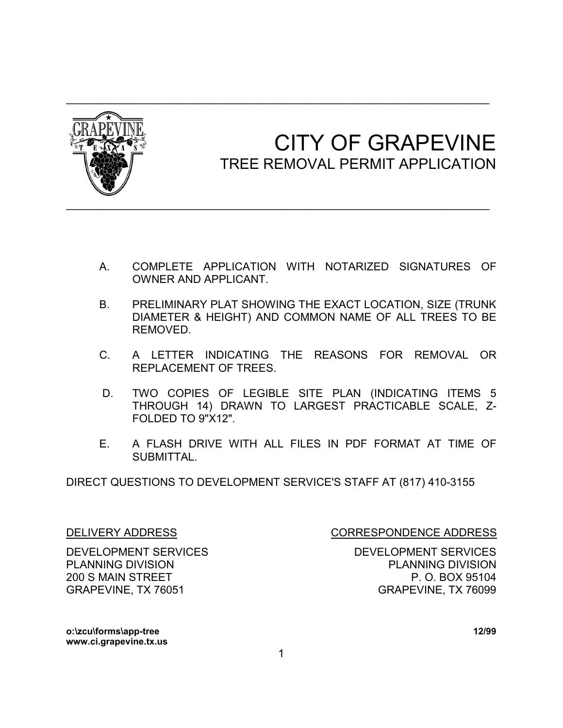

## CITY OF GRAPEVINE<br>TREE REMOVAL PERMIT APPLICATION

- A. COMPLETE APPLICATION WITH NOTARIZED SIGNATURES OF OWNER AND APPLICANT.
- B. PRELIMINARY PLAT SHOWING THE EXACT LOCATION, SIZE (TRUNK DIAMETER & HEIGHT) AND COMMON NAME OF ALL TREES TO BE REMOVED.
- C. A LETTER INDICATING THE REASONS FOR REMOVAL OR REPLACEMENT OF TREES.
- D. TWO COPIES OF LEGIBLE SITE PLAN (INDICATING ITEMS 5 THROUGH 14) DRAWN TO LARGEST PRACTICABLE SCALE, Z-FOLDED TO 9"X12".
- E. A FLASH DRIVE WITH ALL FILES IN PDF FORMAT AT TIME OF SUBMITTAL.

DIRECT QUESTIONS TO DEVELOPMENT SERVICE'S STAFF AT (817) 410-3155

DEVELOPMENT SERVICES DEVELOPMENT SERVICES PLANNING DIVISION PLANNING DIVISION 200 S MAIN STREET **P.O. BOX 95104** GRAPEVINE, TX 76051 GRAPEVINE, TX 76099

DELIVERY ADDRESS CORRESPONDENCE ADDRESS

**o:\zcu\forms\app-tree 12/99 www.ci.grapevine.tx.us**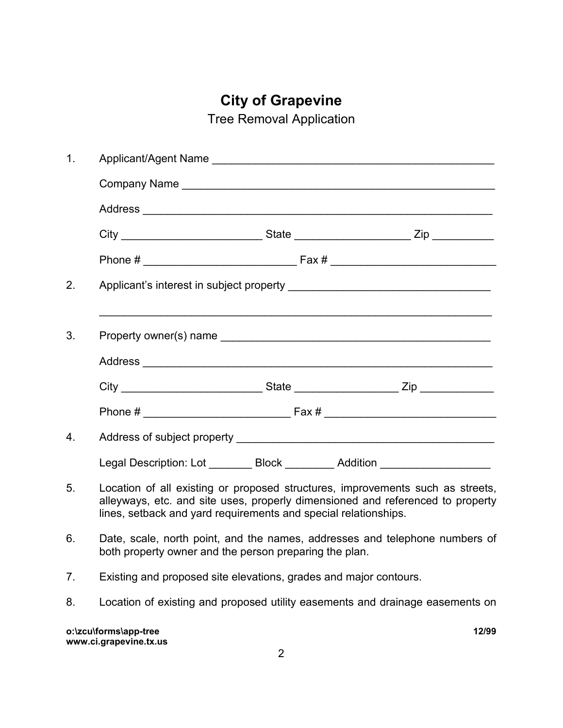## **City of Grapevine**

Tree Removal Application

| 1. |                                                                                                                                                                                                                                     |  |       |  |
|----|-------------------------------------------------------------------------------------------------------------------------------------------------------------------------------------------------------------------------------------|--|-------|--|
|    |                                                                                                                                                                                                                                     |  |       |  |
|    |                                                                                                                                                                                                                                     |  |       |  |
|    |                                                                                                                                                                                                                                     |  |       |  |
|    |                                                                                                                                                                                                                                     |  |       |  |
| 2. |                                                                                                                                                                                                                                     |  |       |  |
| 3. |                                                                                                                                                                                                                                     |  |       |  |
|    |                                                                                                                                                                                                                                     |  |       |  |
|    |                                                                                                                                                                                                                                     |  |       |  |
|    |                                                                                                                                                                                                                                     |  |       |  |
| 4. |                                                                                                                                                                                                                                     |  |       |  |
|    | Legal Description: Lot _________ Block ________ Addition ___________________                                                                                                                                                        |  |       |  |
| 5. | Location of all existing or proposed structures, improvements such as streets,<br>alleyways, etc. and site uses, properly dimensioned and referenced to property<br>lines, setback and yard requirements and special relationships. |  |       |  |
| 6. | Date, scale, north point, and the names, addresses and telephone numbers of<br>both property owner and the person preparing the plan.                                                                                               |  |       |  |
| 7. | Existing and proposed site elevations, grades and major contours.                                                                                                                                                                   |  |       |  |
| 8. | Location of existing and proposed utility easements and drainage easements on                                                                                                                                                       |  |       |  |
|    | o:\zcu\forms\app-tree<br>www.ci.grapevine.tx.us                                                                                                                                                                                     |  | 12/99 |  |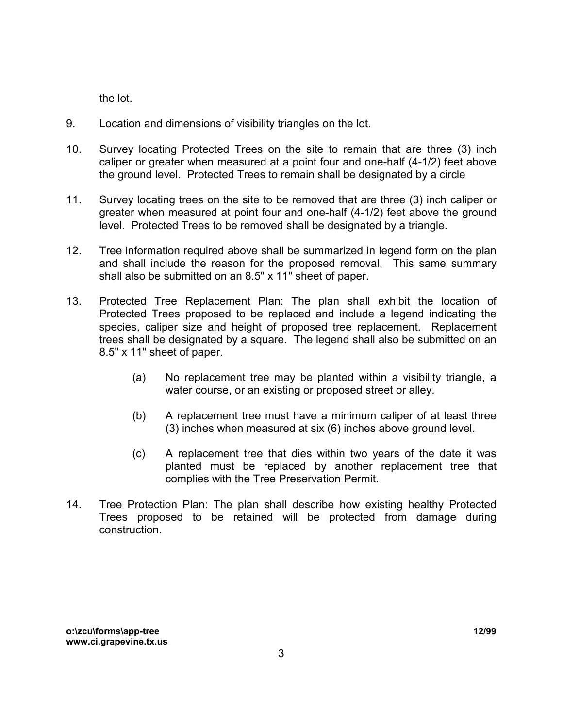the lot.

- 9. Location and dimensions of visibility triangles on the lot.
- 10. Survey locating Protected Trees on the site to remain that are three (3) inch caliper or greater when measured at a point four and one-half (4-1/2) feet above the ground level. Protected Trees to remain shall be designated by a circle
- 11. Survey locating trees on the site to be removed that are three (3) inch caliper or greater when measured at point four and one-half (4-1/2) feet above the ground level. Protected Trees to be removed shall be designated by a triangle.
- 12. Tree information required above shall be summarized in legend form on the plan and shall include the reason for the proposed removal. This same summary shall also be submitted on an 8.5" x 11" sheet of paper.
- 13. Protected Tree Replacement Plan: The plan shall exhibit the location of Protected Trees proposed to be replaced and include a legend indicating the species, caliper size and height of proposed tree replacement. Replacement trees shall be designated by a square. The legend shall also be submitted on an 8.5" x 11" sheet of paper.
	- (a) No replacement tree may be planted within a visibility triangle, a water course, or an existing or proposed street or alley.
	- (b) A replacement tree must have a minimum caliper of at least three (3) inches when measured at six (6) inches above ground level.
	- (c) A replacement tree that dies within two years of the date it was planted must be replaced by another replacement tree that complies with the Tree Preservation Permit.
- 14. Tree Protection Plan: The plan shall describe how existing healthy Protected Trees proposed to be retained will be protected from damage during construction.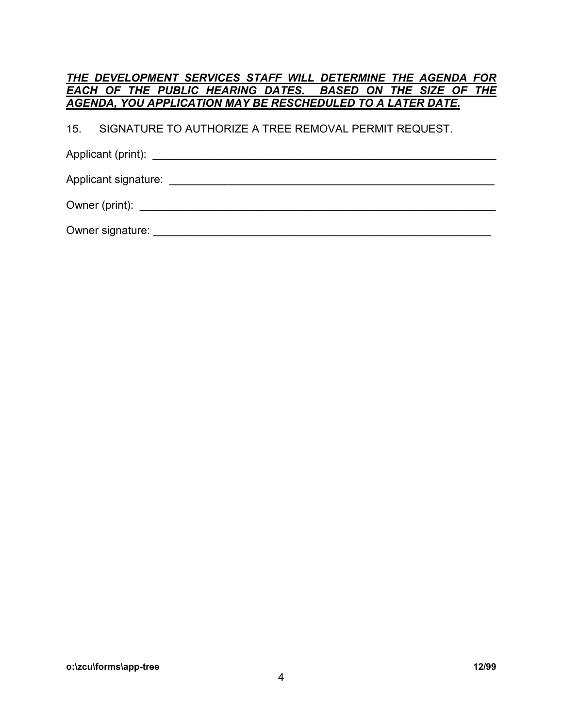|  |  |  |  |  |  |                                                             |  | THE DEVELOPMENT SERVICES STAFF WILL DETERMINE THE AGENDA FOR |  |
|--|--|--|--|--|--|-------------------------------------------------------------|--|--------------------------------------------------------------|--|
|  |  |  |  |  |  |                                                             |  | EACH OF THE PUBLIC HEARING DATES. BASED ON THE SIZE OF THE   |  |
|  |  |  |  |  |  | AGENDA, YOU APPLICATION MAY BE RESCHEDULED TO A LATER DATE. |  |                                                              |  |
|  |  |  |  |  |  | 15. SIGNATURE TO AUTHORIZE A TREE REMOVAL PERMIT REQUEST.   |  |                                                              |  |
|  |  |  |  |  |  |                                                             |  |                                                              |  |
|  |  |  |  |  |  |                                                             |  |                                                              |  |
|  |  |  |  |  |  |                                                             |  |                                                              |  |

Owner signature: \_\_\_\_\_\_\_\_\_\_\_\_\_\_\_\_\_\_\_\_\_\_\_\_\_\_\_\_\_\_\_\_\_\_\_\_\_\_\_\_\_\_\_\_\_\_\_\_\_\_\_\_\_\_\_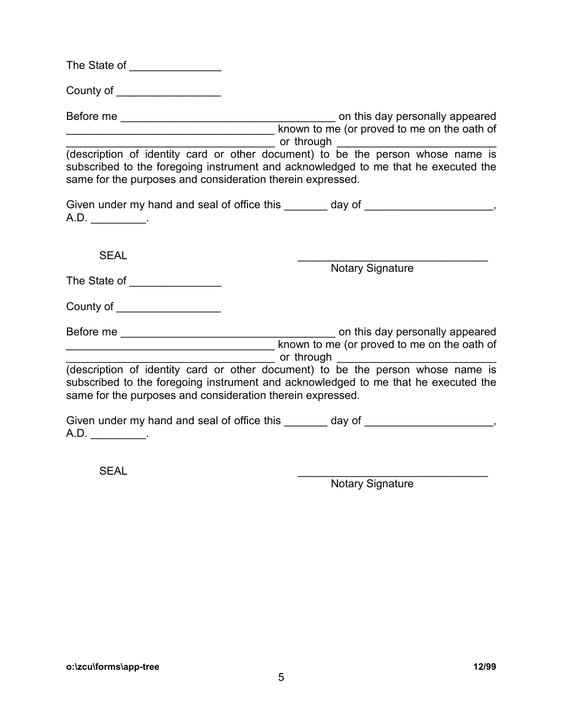| The State of |  |  |  |  |  |
|--------------|--|--|--|--|--|
|              |  |  |  |  |  |

County of \_\_\_\_\_\_\_\_\_\_\_\_\_\_\_\_\_

Before me \_\_\_\_\_\_\_\_\_\_\_\_\_\_\_\_\_\_\_\_\_\_\_\_\_\_\_\_\_\_\_\_\_\_\_ on this day personally appeared \_\_\_\_\_\_\_\_\_\_\_\_\_\_\_\_\_\_\_\_\_\_\_\_\_\_\_\_\_\_\_\_\_\_ known to me (or proved to me on the oath of \_\_\_\_\_\_\_\_\_\_\_\_\_\_\_\_\_\_\_\_\_\_\_\_\_\_\_\_\_\_\_\_\_\_ or through \_\_\_\_\_\_\_\_\_\_\_\_\_\_\_\_\_\_\_\_\_\_\_\_\_\_

(description of identity card or other document) to be the person whose name is subscribed to the foregoing instrument and acknowledged to me that he executed the same for the purposes and consideration therein expressed.

|     | Given under my hand and seal of office this | day of |  |
|-----|---------------------------------------------|--------|--|
| A.D |                                             |        |  |

SEAL \_\_\_\_\_\_\_\_\_\_\_\_\_\_\_\_\_\_\_\_\_\_\_\_\_\_\_\_\_\_\_

**Notary Signature** 

| The State of |  |  |
|--------------|--|--|
|              |  |  |

County of \_\_\_\_\_\_\_\_\_\_\_\_\_\_\_\_\_

| Before me | on this day personally appeared             |
|-----------|---------------------------------------------|
|           | known to me (or proved to me on the oath of |
|           | or through                                  |

(description of identity card or other document) to be the person whose name is subscribed to the foregoing instrument and acknowledged to me that he executed the same for the purposes and consideration therein expressed.

Given under my hand and seal of office this \_\_\_\_\_\_\_ day of \_\_\_\_\_\_\_\_\_\_\_\_\_\_\_\_\_\_, A.D. \_\_\_\_\_\_\_\_\_.

SEAL \_\_\_\_\_\_\_\_\_\_\_\_\_\_\_\_\_\_\_\_\_\_\_\_\_\_\_\_\_\_\_

**Notary Signature**